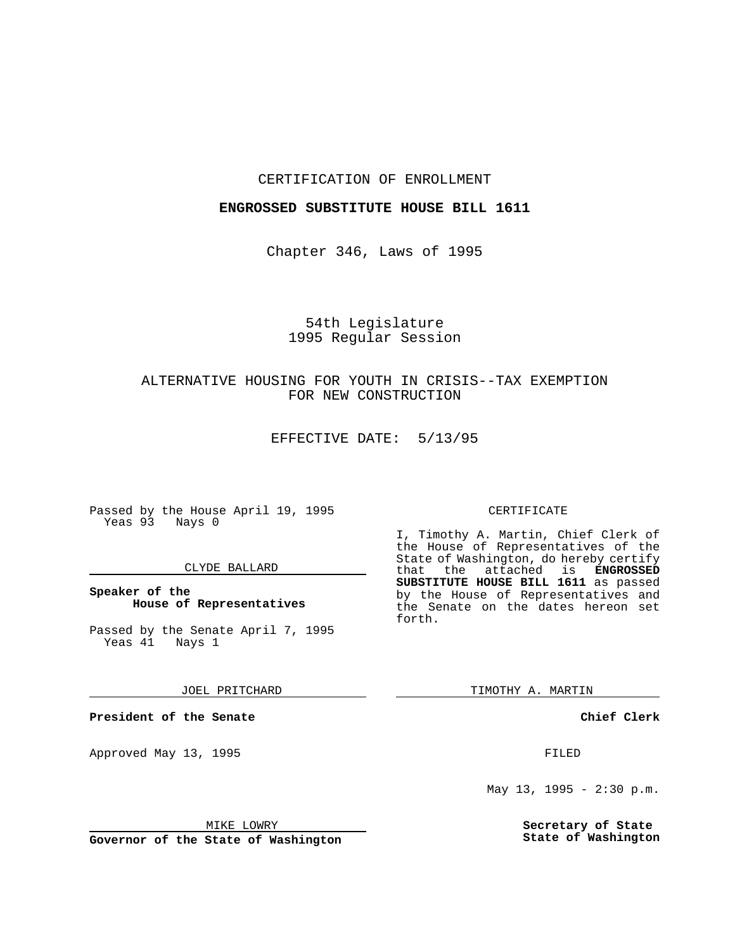### CERTIFICATION OF ENROLLMENT

### **ENGROSSED SUBSTITUTE HOUSE BILL 1611**

Chapter 346, Laws of 1995

# 54th Legislature 1995 Regular Session

# ALTERNATIVE HOUSING FOR YOUTH IN CRISIS--TAX EXEMPTION FOR NEW CONSTRUCTION

EFFECTIVE DATE: 5/13/95

Passed by the House April 19, 1995 Yeas 93 Nays 0

### CLYDE BALLARD

### **Speaker of the House of Representatives**

Passed by the Senate April 7, 1995<br>Yeas 41 Nays 1 Yeas 41

#### JOEL PRITCHARD

**President of the Senate**

Approved May 13, 1995 FILED

### MIKE LOWRY

**Governor of the State of Washington**

#### CERTIFICATE

I, Timothy A. Martin, Chief Clerk of the House of Representatives of the State of Washington, do hereby certify that the attached is **ENGROSSED SUBSTITUTE HOUSE BILL 1611** as passed by the House of Representatives and the Senate on the dates hereon set forth.

TIMOTHY A. MARTIN

#### **Chief Clerk**

May 13, 1995 - 2:30 p.m.

**Secretary of State State of Washington**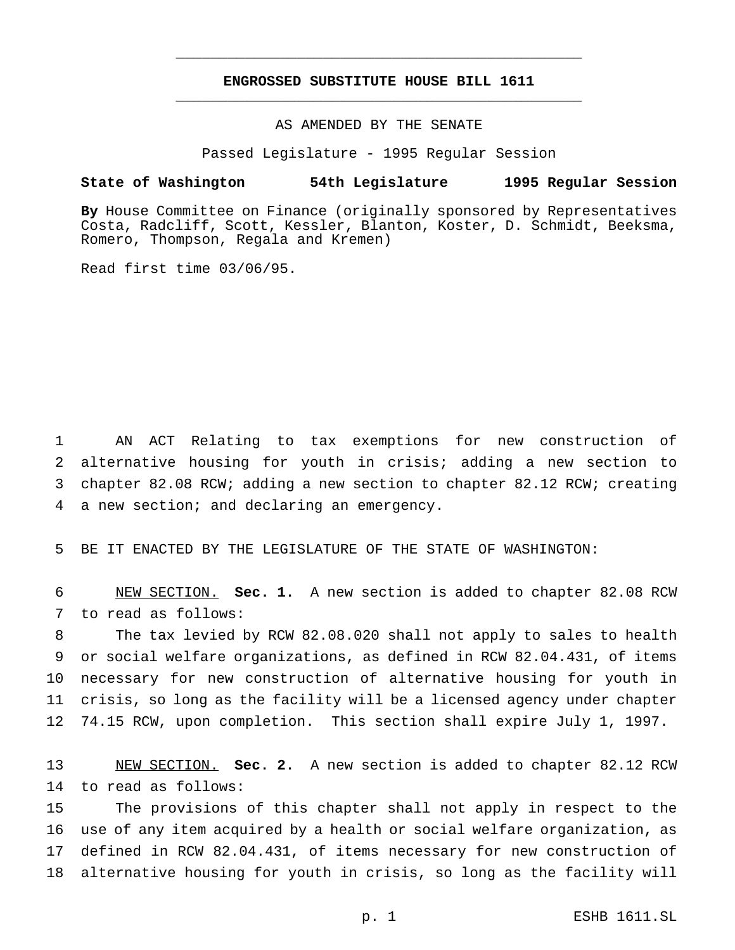# **ENGROSSED SUBSTITUTE HOUSE BILL 1611** \_\_\_\_\_\_\_\_\_\_\_\_\_\_\_\_\_\_\_\_\_\_\_\_\_\_\_\_\_\_\_\_\_\_\_\_\_\_\_\_\_\_\_\_\_\_\_

\_\_\_\_\_\_\_\_\_\_\_\_\_\_\_\_\_\_\_\_\_\_\_\_\_\_\_\_\_\_\_\_\_\_\_\_\_\_\_\_\_\_\_\_\_\_\_

### AS AMENDED BY THE SENATE

Passed Legislature - 1995 Regular Session

#### **State of Washington 54th Legislature 1995 Regular Session**

**By** House Committee on Finance (originally sponsored by Representatives Costa, Radcliff, Scott, Kessler, Blanton, Koster, D. Schmidt, Beeksma, Romero, Thompson, Regala and Kremen)

Read first time 03/06/95.

 AN ACT Relating to tax exemptions for new construction of alternative housing for youth in crisis; adding a new section to chapter 82.08 RCW; adding a new section to chapter 82.12 RCW; creating a new section; and declaring an emergency.

BE IT ENACTED BY THE LEGISLATURE OF THE STATE OF WASHINGTON:

 NEW SECTION. **Sec. 1.** A new section is added to chapter 82.08 RCW to read as follows:

 The tax levied by RCW 82.08.020 shall not apply to sales to health or social welfare organizations, as defined in RCW 82.04.431, of items necessary for new construction of alternative housing for youth in crisis, so long as the facility will be a licensed agency under chapter 74.15 RCW, upon completion. This section shall expire July 1, 1997.

 NEW SECTION. **Sec. 2.** A new section is added to chapter 82.12 RCW to read as follows:

 The provisions of this chapter shall not apply in respect to the use of any item acquired by a health or social welfare organization, as defined in RCW 82.04.431, of items necessary for new construction of alternative housing for youth in crisis, so long as the facility will